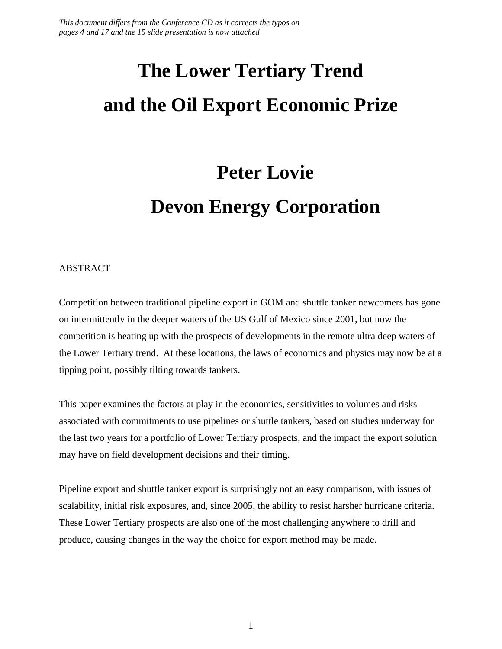## **The Lower Tertiary Trend and the Oil Export Economic Prize**

## **Peter Lovie Devon Energy Corporation**

#### ABSTRACT

Competition between traditional pipeline export in GOM and shuttle tanker newcomers has gone on intermittently in the deeper waters of the US Gulf of Mexico since 2001, but now the competition is heating up with the prospects of developments in the remote ultra deep waters of the Lower Tertiary trend. At these locations, the laws of economics and physics may now be at a tipping point, possibly tilting towards tankers.

This paper examines the factors at play in the economics, sensitivities to volumes and risks associated with commitments to use pipelines or shuttle tankers, based on studies underway for the last two years for a portfolio of Lower Tertiary prospects, and the impact the export solution may have on field development decisions and their timing.

Pipeline export and shuttle tanker export is surprisingly not an easy comparison, with issues of scalability, initial risk exposures, and, since 2005, the ability to resist harsher hurricane criteria. These Lower Tertiary prospects are also one of the most challenging anywhere to drill and produce, causing changes in the way the choice for export method may be made.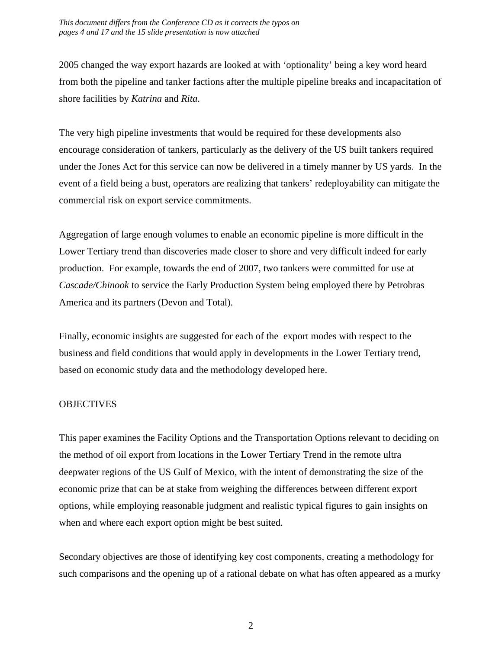2005 changed the way export hazards are looked at with 'optionality' being a key word heard from both the pipeline and tanker factions after the multiple pipeline breaks and incapacitation of shore facilities by *Katrina* and *Rita*.

The very high pipeline investments that would be required for these developments also encourage consideration of tankers, particularly as the delivery of the US built tankers required under the Jones Act for this service can now be delivered in a timely manner by US yards. In the event of a field being a bust, operators are realizing that tankers' redeployability can mitigate the commercial risk on export service commitments.

Aggregation of large enough volumes to enable an economic pipeline is more difficult in the Lower Tertiary trend than discoveries made closer to shore and very difficult indeed for early production. For example, towards the end of 2007, two tankers were committed for use at *Cascade/Chinook* to service the Early Production System being employed there by Petrobras America and its partners (Devon and Total).

Finally, economic insights are suggested for each of the export modes with respect to the business and field conditions that would apply in developments in the Lower Tertiary trend, based on economic study data and the methodology developed here.

#### **OBJECTIVES**

This paper examines the Facility Options and the Transportation Options relevant to deciding on the method of oil export from locations in the Lower Tertiary Trend in the remote ultra deepwater regions of the US Gulf of Mexico, with the intent of demonstrating the size of the economic prize that can be at stake from weighing the differences between different export options, while employing reasonable judgment and realistic typical figures to gain insights on when and where each export option might be best suited.

Secondary objectives are those of identifying key cost components, creating a methodology for such comparisons and the opening up of a rational debate on what has often appeared as a murky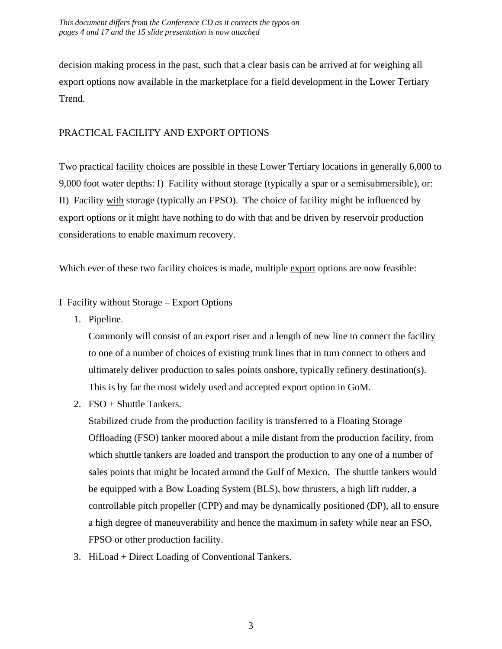decision making process in the past, such that a clear basis can be arrived at for weighing all export options now available in the marketplace for a field development in the Lower Tertiary Trend.

#### PRACTICAL FACILITY AND EXPORT OPTIONS

Two practical facility choices are possible in these Lower Tertiary locations in generally 6,000 to 9,000 foot water depths: I) Facility without storage (typically a spar or a semisubmersible), or: II) Facility with storage (typically an FPSO). The choice of facility might be influenced by export options or it might have nothing to do with that and be driven by reservoir production considerations to enable maximum recovery.

Which ever of these two facility choices is made, multiple export options are now feasible:

#### I Facility without Storage – Export Options

1. Pipeline.

Commonly will consist of an export riser and a length of new line to connect the facility to one of a number of choices of existing trunk lines that in turn connect to others and ultimately deliver production to sales points onshore, typically refinery destination(s). This is by far the most widely used and accepted export option in GoM.

2. FSO + Shuttle Tankers.

Stabilized crude from the production facility is transferred to a Floating Storage Offloading (FSO) tanker moored about a mile distant from the production facility, from which shuttle tankers are loaded and transport the production to any one of a number of sales points that might be located around the Gulf of Mexico. The shuttle tankers would be equipped with a Bow Loading System (BLS), bow thrusters, a high lift rudder, a controllable pitch propeller (CPP) and may be dynamically positioned (DP), all to ensure a high degree of maneuverability and hence the maximum in safety while near an FSO, FPSO or other production facility.

3. HiLoad + Direct Loading of Conventional Tankers.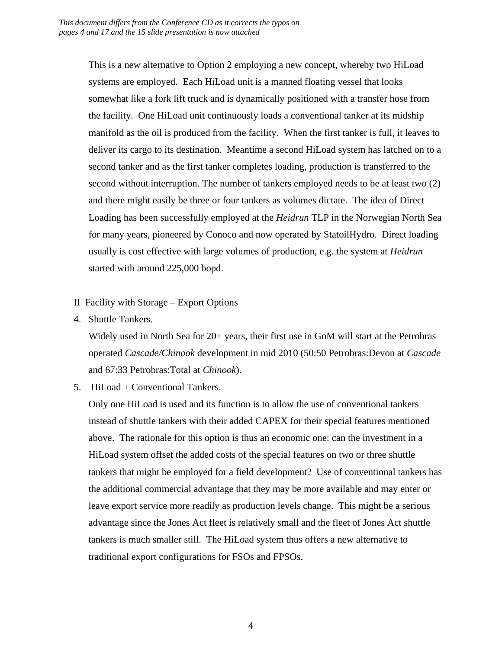This is a new alternative to Option 2 employing a new concept, whereby two HiLoad systems are employed. Each HiLoad unit is a manned floating vessel that looks somewhat like a fork lift truck and is dynamically positioned with a transfer hose from the facility. One HiLoad unit continuously loads a conventional tanker at its midship manifold as the oil is produced from the facility. When the first tanker is full, it leaves to deliver its cargo to its destination. Meantime a second HiLoad system has latched on to a second tanker and as the first tanker completes loading, production is transferred to the second without interruption. The number of tankers employed needs to be at least two (2) and there might easily be three or four tankers as volumes dictate. The idea of Direct Loading has been successfully employed at the *Heidrun* TLP in the Norwegian North Sea for many years, pioneered by Conoco and now operated by StatoilHydro. Direct loading usually is cost effective with large volumes of production, e.g. the system at *Heidrun* started with around 225,000 bopd.

#### II Facility with Storage – Export Options

4. Shuttle Tankers.

Widely used in North Sea for 20+ years, their first use in GoM will start at the Petrobras operated *Cascade/Chinook* development in mid 2010 (50:50 Petrobras:Devon at *Cascade* and 67:33 Petrobras:Total at *Chinook*).

5. HiLoad + Conventional Tankers.

Only one HiLoad is used and its function is to allow the use of conventional tankers instead of shuttle tankers with their added CAPEX for their special features mentioned above. The rationale for this option is thus an economic one: can the investment in a HiLoad system offset the added costs of the special features on two or three shuttle tankers that might be employed for a field development? Use of conventional tankers has the additional commercial advantage that they may be more available and may enter or leave export service more readily as production levels change. This might be a serious advantage since the Jones Act fleet is relatively small and the fleet of Jones Act shuttle tankers is much smaller still. The HiLoad system thus offers a new alternative to traditional export configurations for FSOs and FPSOs.

4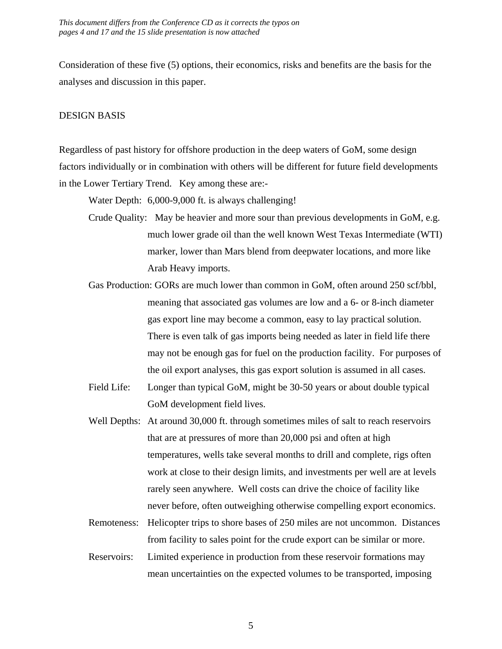Consideration of these five (5) options, their economics, risks and benefits are the basis for the analyses and discussion in this paper.

#### DESIGN BASIS

Regardless of past history for offshore production in the deep waters of GoM, some design factors individually or in combination with others will be different for future field developments in the Lower Tertiary Trend. Key among these are:-

Water Depth: 6,000-9,000 ft. is always challenging!

- Crude Quality: May be heavier and more sour than previous developments in GoM, e.g. much lower grade oil than the well known West Texas Intermediate (WTI) marker, lower than Mars blend from deepwater locations, and more like Arab Heavy imports.
- Gas Production: GORs are much lower than common in GoM, often around 250 scf/bbl, meaning that associated gas volumes are low and a 6- or 8-inch diameter gas export line may become a common, easy to lay practical solution. There is even talk of gas imports being needed as later in field life there may not be enough gas for fuel on the production facility. For purposes of the oil export analyses, this gas export solution is assumed in all cases.
- Field Life: Longer than typical GoM, might be 30-50 years or about double typical GoM development field lives.
- Well Depths: At around 30,000 ft. through sometimes miles of salt to reach reservoirs that are at pressures of more than 20,000 psi and often at high temperatures, wells take several months to drill and complete, rigs often work at close to their design limits, and investments per well are at levels rarely seen anywhere. Well costs can drive the choice of facility like never before, often outweighing otherwise compelling export economics.
- Remoteness: Helicopter trips to shore bases of 250 miles are not uncommon. Distances from facility to sales point for the crude export can be similar or more.
- Reservoirs: Limited experience in production from these reservoir formations may mean uncertainties on the expected volumes to be transported, imposing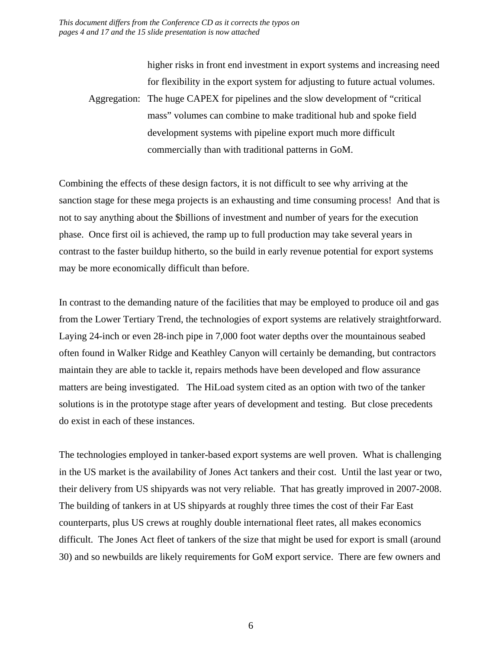higher risks in front end investment in export systems and increasing need for flexibility in the export system for adjusting to future actual volumes. Aggregation: The huge CAPEX for pipelines and the slow development of "critical mass" volumes can combine to make traditional hub and spoke field development systems with pipeline export much more difficult commercially than with traditional patterns in GoM.

Combining the effects of these design factors, it is not difficult to see why arriving at the sanction stage for these mega projects is an exhausting and time consuming process! And that is not to say anything about the \$billions of investment and number of years for the execution phase. Once first oil is achieved, the ramp up to full production may take several years in contrast to the faster buildup hitherto, so the build in early revenue potential for export systems may be more economically difficult than before.

In contrast to the demanding nature of the facilities that may be employed to produce oil and gas from the Lower Tertiary Trend, the technologies of export systems are relatively straightforward. Laying 24-inch or even 28-inch pipe in 7,000 foot water depths over the mountainous seabed often found in Walker Ridge and Keathley Canyon will certainly be demanding, but contractors maintain they are able to tackle it, repairs methods have been developed and flow assurance matters are being investigated. The HiLoad system cited as an option with two of the tanker solutions is in the prototype stage after years of development and testing. But close precedents do exist in each of these instances.

The technologies employed in tanker-based export systems are well proven. What is challenging in the US market is the availability of Jones Act tankers and their cost. Until the last year or two, their delivery from US shipyards was not very reliable. That has greatly improved in 2007-2008. The building of tankers in at US shipyards at roughly three times the cost of their Far East counterparts, plus US crews at roughly double international fleet rates, all makes economics difficult. The Jones Act fleet of tankers of the size that might be used for export is small (around 30) and so newbuilds are likely requirements for GoM export service. There are few owners and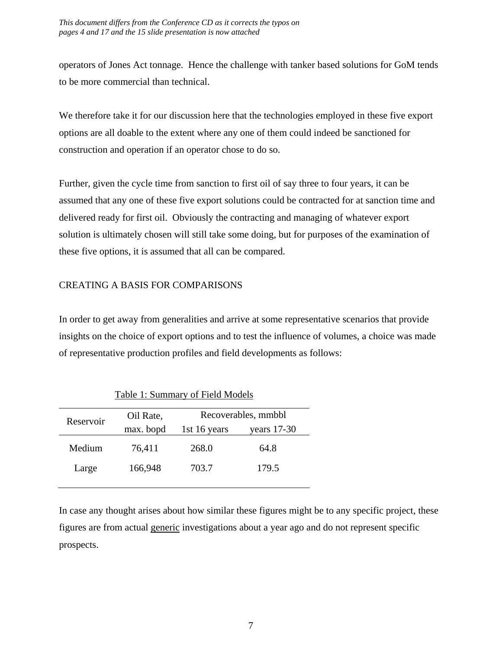operators of Jones Act tonnage. Hence the challenge with tanker based solutions for GoM tends to be more commercial than technical.

We therefore take it for our discussion here that the technologies employed in these five export options are all doable to the extent where any one of them could indeed be sanctioned for construction and operation if an operator chose to do so.

Further, given the cycle time from sanction to first oil of say three to four years, it can be assumed that any one of these five export solutions could be contracted for at sanction time and delivered ready for first oil. Obviously the contracting and managing of whatever export solution is ultimately chosen will still take some doing, but for purposes of the examination of these five options, it is assumed that all can be compared.

#### CREATING A BASIS FOR COMPARISONS

In order to get away from generalities and arrive at some representative scenarios that provide insights on the choice of export options and to test the influence of volumes, a choice was made of representative production profiles and field developments as follows:

| Reservoir | Oil Rate, |              | Recoverables, mmbbl |
|-----------|-----------|--------------|---------------------|
|           | max. bopd | 1st 16 years | years $17-30$       |
| Medium    | 76,411    | 268.0        | 64.8                |
| Large     | 166,948   | 703.7        | 179.5               |

Table 1: Summary of Field Models

In case any thought arises about how similar these figures might be to any specific project, these figures are from actual generic investigations about a year ago and do not represent specific prospects.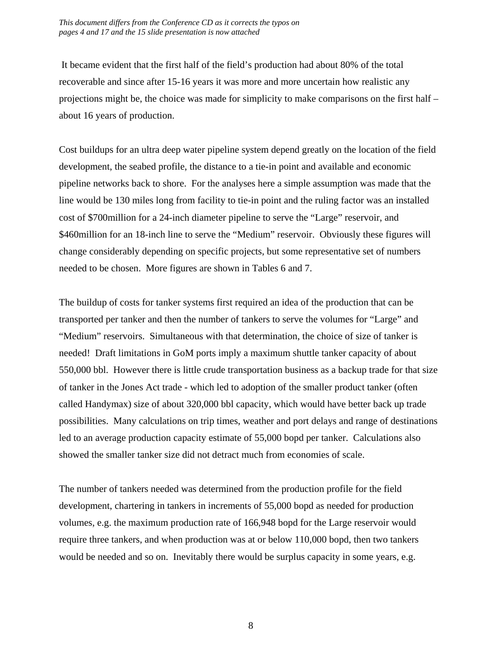It became evident that the first half of the field's production had about 80% of the total recoverable and since after 15-16 years it was more and more uncertain how realistic any projections might be, the choice was made for simplicity to make comparisons on the first half – about 16 years of production.

Cost buildups for an ultra deep water pipeline system depend greatly on the location of the field development, the seabed profile, the distance to a tie-in point and available and economic pipeline networks back to shore. For the analyses here a simple assumption was made that the line would be 130 miles long from facility to tie-in point and the ruling factor was an installed cost of \$700million for a 24-inch diameter pipeline to serve the "Large" reservoir, and \$460 million for an 18-inch line to serve the "Medium" reservoir. Obviously these figures will change considerably depending on specific projects, but some representative set of numbers needed to be chosen. More figures are shown in Tables 6 and 7.

The buildup of costs for tanker systems first required an idea of the production that can be transported per tanker and then the number of tankers to serve the volumes for "Large" and "Medium" reservoirs. Simultaneous with that determination, the choice of size of tanker is needed! Draft limitations in GoM ports imply a maximum shuttle tanker capacity of about 550,000 bbl. However there is little crude transportation business as a backup trade for that size of tanker in the Jones Act trade - which led to adoption of the smaller product tanker (often called Handymax) size of about 320,000 bbl capacity, which would have better back up trade possibilities. Many calculations on trip times, weather and port delays and range of destinations led to an average production capacity estimate of 55,000 bopd per tanker. Calculations also showed the smaller tanker size did not detract much from economies of scale.

The number of tankers needed was determined from the production profile for the field development, chartering in tankers in increments of 55,000 bopd as needed for production volumes, e.g. the maximum production rate of 166,948 bopd for the Large reservoir would require three tankers, and when production was at or below 110,000 bopd, then two tankers would be needed and so on. Inevitably there would be surplus capacity in some years, e.g.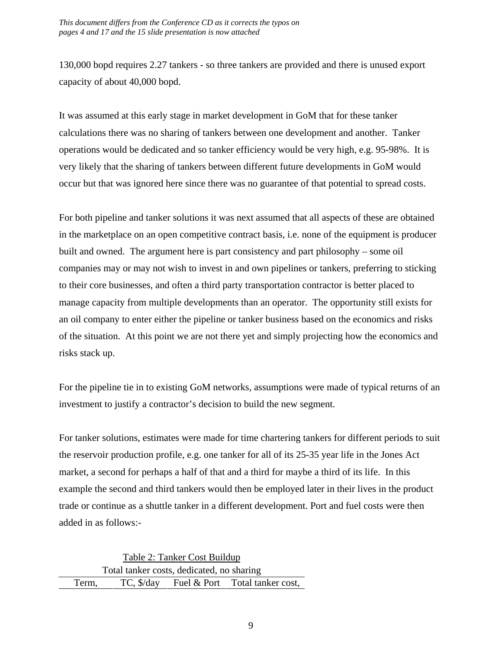130,000 bopd requires 2.27 tankers - so three tankers are provided and there is unused export capacity of about 40,000 bopd.

It was assumed at this early stage in market development in GoM that for these tanker calculations there was no sharing of tankers between one development and another. Tanker operations would be dedicated and so tanker efficiency would be very high, e.g. 95-98%. It is very likely that the sharing of tankers between different future developments in GoM would occur but that was ignored here since there was no guarantee of that potential to spread costs.

For both pipeline and tanker solutions it was next assumed that all aspects of these are obtained in the marketplace on an open competitive contract basis, i.e. none of the equipment is producer built and owned. The argument here is part consistency and part philosophy – some oil companies may or may not wish to invest in and own pipelines or tankers, preferring to sticking to their core businesses, and often a third party transportation contractor is better placed to manage capacity from multiple developments than an operator. The opportunity still exists for an oil company to enter either the pipeline or tanker business based on the economics and risks of the situation. At this point we are not there yet and simply projecting how the economics and risks stack up.

For the pipeline tie in to existing GoM networks, assumptions were made of typical returns of an investment to justify a contractor's decision to build the new segment.

For tanker solutions, estimates were made for time chartering tankers for different periods to suit the reservoir production profile, e.g. one tanker for all of its 25-35 year life in the Jones Act market, a second for perhaps a half of that and a third for maybe a third of its life. In this example the second and third tankers would then be employed later in their lives in the product trade or continue as a shuttle tanker in a different development. Port and fuel costs were then added in as follows:-

Table 2: Tanker Cost Buildup Total tanker costs, dedicated, no sharing Term, TC, \$/day Fuel & Port Total tanker cost,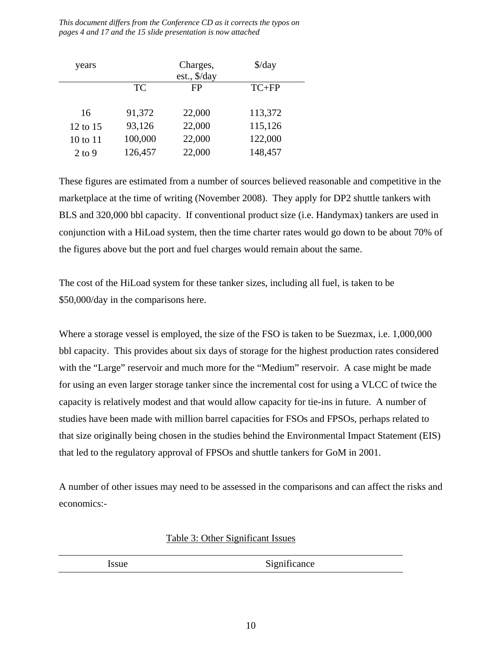*This document differs from the Conference CD as it corrects the typos on pages 4 and 17 and the 15 slide presentation is now attached*

| years      |         | Charges,<br>est., \$/day | $\frac{\text{d}}{\text{d}}$ |
|------------|---------|--------------------------|-----------------------------|
|            | TC      | FP                       | $TC+FP$                     |
| 16         | 91,372  | 22,000                   | 113,372                     |
| 12 to 15   | 93,126  | 22,000                   | 115,126                     |
| 10 to 11   | 100,000 | 22,000                   | 122,000                     |
| $2$ to $9$ | 126,457 | 22,000                   | 148,457                     |

These figures are estimated from a number of sources believed reasonable and competitive in the marketplace at the time of writing (November 2008). They apply for DP2 shuttle tankers with BLS and 320,000 bbl capacity. If conventional product size (i.e. Handymax) tankers are used in conjunction with a HiLoad system, then the time charter rates would go down to be about 70% of the figures above but the port and fuel charges would remain about the same.

The cost of the HiLoad system for these tanker sizes, including all fuel, is taken to be \$50,000/day in the comparisons here.

Where a storage vessel is employed, the size of the FSO is taken to be Suezmax, i.e. 1,000,000 bbl capacity. This provides about six days of storage for the highest production rates considered with the "Large" reservoir and much more for the "Medium" reservoir. A case might be made for using an even larger storage tanker since the incremental cost for using a VLCC of twice the capacity is relatively modest and that would allow capacity for tie-ins in future. A number of studies have been made with million barrel capacities for FSOs and FPSOs, perhaps related to that size originally being chosen in the studies behind the Environmental Impact Statement (EIS) that led to the regulatory approval of FPSOs and shuttle tankers for GoM in 2001.

A number of other issues may need to be assessed in the comparisons and can affect the risks and economics:-

| Table 3: Other Significant Issues |  |  |
|-----------------------------------|--|--|
|                                   |  |  |

Significance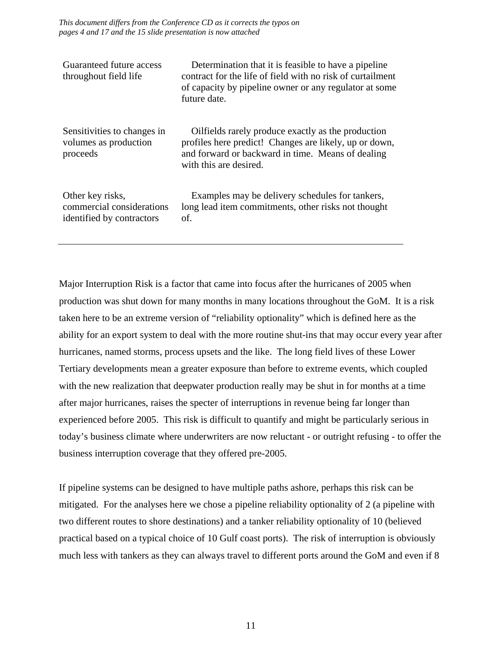*This document differs from the Conference CD as it corrects the typos on pages 4 and 17 and the 15 slide presentation is now attached*

| Guaranteed future access<br>throughout field life                          | Determination that it is feasible to have a pipeline<br>contract for the life of field with no risk of curtailment<br>of capacity by pipeline owner or any regulator at some<br>future date. |
|----------------------------------------------------------------------------|----------------------------------------------------------------------------------------------------------------------------------------------------------------------------------------------|
| Sensitivities to changes in<br>volumes as production<br>proceeds           | Oilfields rarely produce exactly as the production<br>profiles here predict! Changes are likely, up or down,<br>and forward or backward in time. Means of dealing<br>with this are desired.  |
| Other key risks,<br>commercial considerations<br>identified by contractors | Examples may be delivery schedules for tankers,<br>long lead item commitments, other risks not thought<br>of.                                                                                |

Major Interruption Risk is a factor that came into focus after the hurricanes of 2005 when production was shut down for many months in many locations throughout the GoM. It is a risk taken here to be an extreme version of "reliability optionality" which is defined here as the ability for an export system to deal with the more routine shut-ins that may occur every year after hurricanes, named storms, process upsets and the like. The long field lives of these Lower Tertiary developments mean a greater exposure than before to extreme events, which coupled with the new realization that deepwater production really may be shut in for months at a time after major hurricanes, raises the specter of interruptions in revenue being far longer than experienced before 2005. This risk is difficult to quantify and might be particularly serious in today's business climate where underwriters are now reluctant - or outright refusing - to offer the business interruption coverage that they offered pre-2005.

If pipeline systems can be designed to have multiple paths ashore, perhaps this risk can be mitigated. For the analyses here we chose a pipeline reliability optionality of 2 (a pipeline with two different routes to shore destinations) and a tanker reliability optionality of 10 (believed practical based on a typical choice of 10 Gulf coast ports). The risk of interruption is obviously much less with tankers as they can always travel to different ports around the GoM and even if 8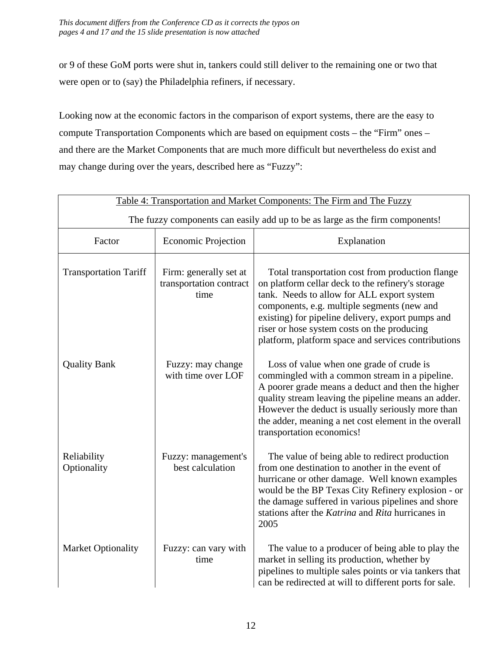or 9 of these GoM ports were shut in, tankers could still deliver to the remaining one or two that were open or to (say) the Philadelphia refiners, if necessary.

Looking now at the economic factors in the comparison of export systems, there are the easy to compute Transportation Components which are based on equipment costs – the "Firm" ones – and there are the Market Components that are much more difficult but nevertheless do exist and may change during over the years, described here as "Fuzzy":

| Table 4: Transportation and Market Components: The Firm and The Fuzzy |                                                                               |                                                                                                                                                                                                                                                                                                                                                               |  |  |  |  |
|-----------------------------------------------------------------------|-------------------------------------------------------------------------------|---------------------------------------------------------------------------------------------------------------------------------------------------------------------------------------------------------------------------------------------------------------------------------------------------------------------------------------------------------------|--|--|--|--|
|                                                                       | The fuzzy components can easily add up to be as large as the firm components! |                                                                                                                                                                                                                                                                                                                                                               |  |  |  |  |
| Factor                                                                | <b>Economic Projection</b>                                                    | Explanation                                                                                                                                                                                                                                                                                                                                                   |  |  |  |  |
| <b>Transportation Tariff</b>                                          | Firm: generally set at<br>transportation contract<br>time                     | Total transportation cost from production flange<br>on platform cellar deck to the refinery's storage<br>tank. Needs to allow for ALL export system<br>components, e.g. multiple segments (new and<br>existing) for pipeline delivery, export pumps and<br>riser or hose system costs on the producing<br>platform, platform space and services contributions |  |  |  |  |
| <b>Quality Bank</b>                                                   | Fuzzy: may change<br>with time over LOF                                       | Loss of value when one grade of crude is<br>commingled with a common stream in a pipeline.<br>A poorer grade means a deduct and then the higher<br>quality stream leaving the pipeline means an adder.<br>However the deduct is usually seriously more than<br>the adder, meaning a net cost element in the overall<br>transportation economics!              |  |  |  |  |
| Reliability<br>Optionality                                            | Fuzzy: management's<br>best calculation                                       | The value of being able to redirect production<br>from one destination to another in the event of<br>hurricane or other damage. Well known examples<br>would be the BP Texas City Refinery explosion - or<br>the damage suffered in various pipelines and shore<br>stations after the Katrina and Rita hurricanes in<br>2005                                  |  |  |  |  |
| <b>Market Optionality</b>                                             | Fuzzy: can vary with<br>time                                                  | The value to a producer of being able to play the<br>market in selling its production, whether by<br>pipelines to multiple sales points or via tankers that<br>can be redirected at will to different ports for sale.                                                                                                                                         |  |  |  |  |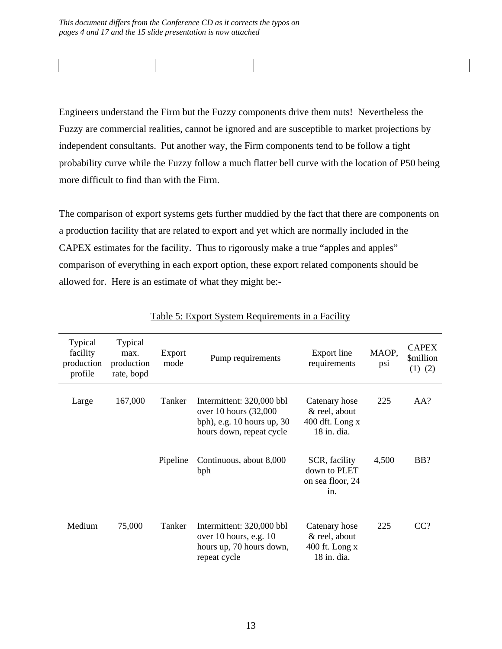Engineers understand the Firm but the Fuzzy components drive them nuts! Nevertheless the Fuzzy are commercial realities, cannot be ignored and are susceptible to market projections by independent consultants. Put another way, the Firm components tend to be follow a tight probability curve while the Fuzzy follow a much flatter bell curve with the location of P50 being more difficult to find than with the Firm.

The comparison of export systems gets further muddied by the fact that there are components on a production facility that are related to export and yet which are normally included in the CAPEX estimates for the facility. Thus to rigorously make a true "apples and apples" comparison of everything in each export option, these export related components should be allowed for. Here is an estimate of what they might be:-

| Typical<br>facility<br>production<br>profile | Typical<br>max.<br>production<br>rate, bopd | Export<br>mode | Pump requirements                                                                                                 | Export line<br>requirements                                        | MAOP,<br>psi | <b>CAPEX</b><br><i><b>\$million</b></i><br>$(1)$ $(2)$ |
|----------------------------------------------|---------------------------------------------|----------------|-------------------------------------------------------------------------------------------------------------------|--------------------------------------------------------------------|--------------|--------------------------------------------------------|
| Large                                        | 167,000                                     | Tanker         | Intermittent: 320,000 bbl<br>over 10 hours (32,000)<br>bph), e.g. $10$ hours up, $30$<br>hours down, repeat cycle | Catenary hose<br>& reel, about<br>$400$ dft. Long x<br>18 in. dia. | 225          | AA?                                                    |
|                                              |                                             | Pipeline       | Continuous, about 8,000<br>bph                                                                                    | SCR, facility<br>down to PLET<br>on sea floor, 24<br>in.           | 4,500        | BB?                                                    |
| Medium                                       | 75,000                                      | Tanker         | Intermittent: 320,000 bbl<br>over 10 hours, e.g. 10<br>hours up, 70 hours down,<br>repeat cycle                   | Catenary hose<br>& reel, about<br>$400$ ft. Long x<br>18 in. dia.  | 225          | CC?                                                    |

Table 5: Export System Requirements in a Facility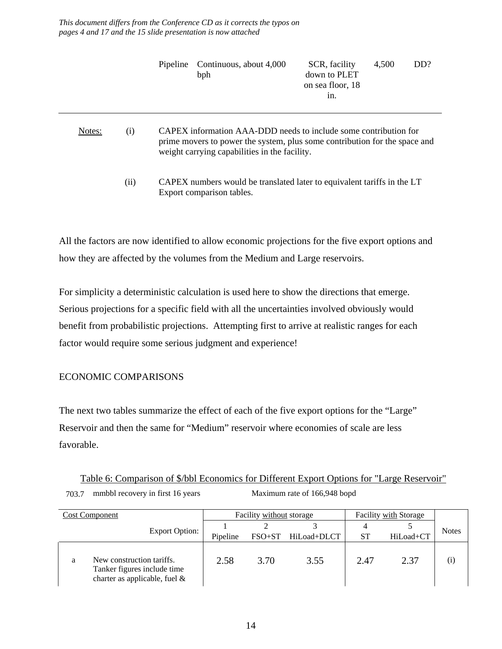*This document differs from the Conference CD as it corrects the typos on pages 4 and 17 and the 15 slide presentation is now attached*

|               | Pipeline Continuous, about 4,000<br>bph                                                                                                                                                         | SCR, facility<br>down to PLET<br>on sea floor, 18<br>in. | 4.500 | DD? |
|---------------|-------------------------------------------------------------------------------------------------------------------------------------------------------------------------------------------------|----------------------------------------------------------|-------|-----|
| Notes:<br>(i) | CAPEX information AAA-DDD needs to include some contribution for<br>prime movers to power the system, plus some contribution for the space and<br>weight carrying capabilities in the facility. |                                                          |       |     |

 $(ii)$ CAPEX numbers would be translated later to equivalent tariffs in the LT Export comparison tables.

All the factors are now identified to allow economic projections for the five export options and how they are affected by the volumes from the Medium and Large reservoirs.

For simplicity a deterministic calculation is used here to show the directions that emerge. Serious projections for a specific field with all the uncertainties involved obviously would benefit from probabilistic projections. Attempting first to arrive at realistic ranges for each factor would require some serious judgment and experience!

#### ECONOMIC COMPARISONS

The next two tables summarize the effect of each of the five export options for the "Large" Reservoir and then the same for "Medium" reservoir where economies of scale are less favorable.

Table 6: Comparison of \$/bbl Economics for Different Export Options for "Large Reservoir" 703.7 mmbbl recovery in first 16 years Maximum rate of 166,948 bopd

| <b>Cost Component</b>                                                                             |          | Facility without storage |             | Facility with Storage |           |              |
|---------------------------------------------------------------------------------------------------|----------|--------------------------|-------------|-----------------------|-----------|--------------|
|                                                                                                   |          |                          |             |                       |           | <b>Notes</b> |
| <b>Export Option:</b>                                                                             | Pipeline | $FSO+ST$                 | HiLoad+DLCT | ST                    | HiLoad+CT |              |
| New construction tariffs.<br>a<br>Tanker figures include time<br>charter as applicable, fuel $\&$ | 2.58     | 3.70                     | 3.55        | 2.47                  | 2.37      |              |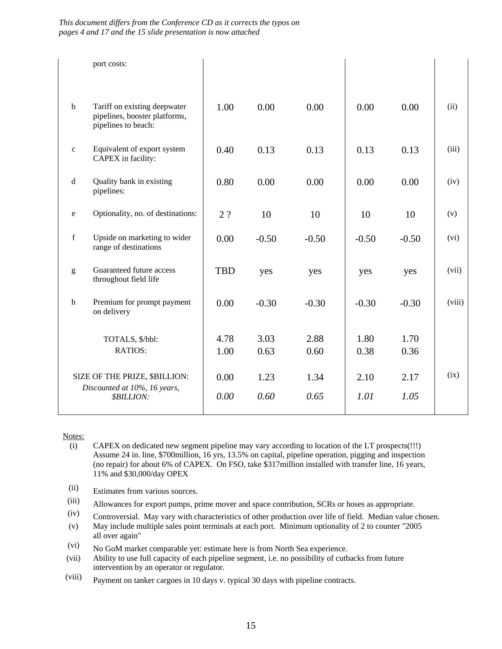|              | port costs:                                                                          |                |              |              |              |              |        |
|--------------|--------------------------------------------------------------------------------------|----------------|--------------|--------------|--------------|--------------|--------|
| $\mathbf b$  | Tariff on existing deepwater<br>pipelines, booster platforms,<br>pipelines to beach: | 1.00           | 0.00         | 0.00         | 0.00         | 0.00         | (ii)   |
| $\mathbf{C}$ | Equivalent of export system<br>CAPEX in facility:                                    | 0.40           | 0.13         | 0.13         | 0.13         | 0.13         | (iii)  |
| $\mathbf d$  | Quality bank in existing<br>pipelines:                                               | 0.80           | 0.00         | 0.00         | 0.00         | 0.00         | (iv)   |
| e            | Optionality, no. of destinations:                                                    | 2 <sub>2</sub> | 10           | 10           | 10           | 10           | (v)    |
| $\mathbf f$  | Upside on marketing to wider<br>range of destinations                                | 0.00           | $-0.50$      | $-0.50$      | $-0.50$      | $-0.50$      | (vi)   |
| g            | Guaranteed future access<br>throughout field life                                    | <b>TBD</b>     | yes          | yes          | yes          | yes          | (vii)  |
| $\mathbf h$  | Premium for prompt payment<br>on delivery                                            | 0.00           | $-0.30$      | $-0.30$      | $-0.30$      | $-0.30$      | (viii) |
|              | TOTALS, \$/bbl:<br>RATIOS:                                                           | 4.78<br>1.00   | 3.03<br>0.63 | 2.88<br>0.60 | 1.80<br>0.38 | 1.70<br>0.36 |        |
|              | SIZE OF THE PRIZE, \$BILLION:<br>Discounted at 10%, 16 years,<br><b>\$BILLION:</b>   | 0.00<br>0.00   | 1.23<br>0.60 | 1.34<br>0.65 | 2.10<br>1.01 | 2.17<br>1.05 | (ix)   |

#### Notes:

- (i) CAPEX on dedicated new segment pipeline may vary according to location of the LT prospects(!!!) Assume 24 in. line, \$700million, 16 yrs, 13.5% on capital, pipeline operation, pigging and inspection (no repair) for about 6% of CAPEX. On FSO, take \$317million installed with transfer line, 16 years, 11% and \$30,000/day OPEX
- (ii) Estimates from various sources.
- (iii) Allowances for export pumps, prime mover and space contribution, SCRs or hoses as appropriate.
- (iv) Controversial. May vary with characteristics of other production over life of field. Median value chosen.
- (v) May include multiple sales point terminals at each port. Minimum optionality of 2 to counter "2005 all over again"
- (vi) No GoM market comparable yet: estimate here is from North Sea experience.
- (vii) Ability to use full capacity of each pipeline segment, i.e. no possibility of cutbacks from future intervention by an operator or regulator.
- (viii) Payment on tanker cargoes in 10 days v. typical 30 days with pipeline contracts.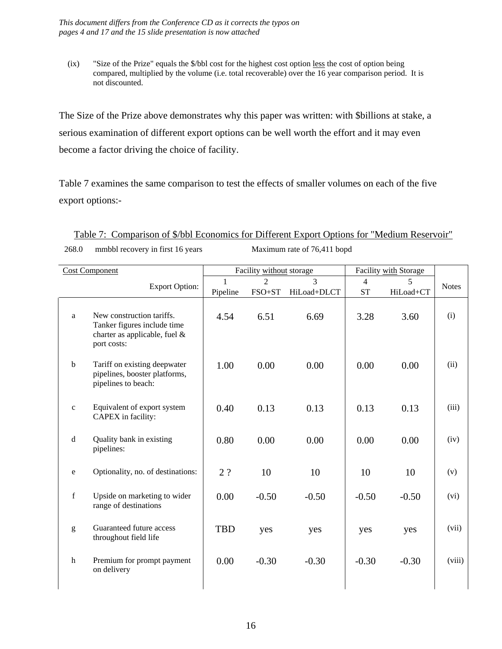(ix) "Size of the Prize" equals the \$/bbl cost for the highest cost option less the cost of option being compared, multiplied by the volume (i.e. total recoverable) over the 16 year comparison period. It is not discounted.

The Size of the Prize above demonstrates why this paper was written: with \$billions at stake, a serious examination of different export options can be well worth the effort and it may even become a factor driving the choice of facility.

Table 7 examines the same comparison to test the effects of smaller volumes on each of the five export options:-

|              | <b>Cost Component</b>                                                                                    |            | Facility without storage |             | Facility with Storage |           |              |
|--------------|----------------------------------------------------------------------------------------------------------|------------|--------------------------|-------------|-----------------------|-----------|--------------|
|              | <b>Export Option:</b>                                                                                    | 1          | $\mathcal{D}$            | 3           | $\overline{4}$        | 5         | <b>Notes</b> |
|              |                                                                                                          | Pipeline   | FSO+ST                   | HiLoad+DLCT | <b>ST</b>             | HiLoad+CT |              |
| a            | New construction tariffs.<br>Tanker figures include time<br>charter as applicable, fuel &<br>port costs: | 4.54       | 6.51                     | 6.69        | 3.28                  | 3.60      | (i)          |
| $\mathbf b$  | Tariff on existing deepwater<br>pipelines, booster platforms,<br>pipelines to beach:                     | 1.00       | 0.00                     | 0.00        | 0.00                  | 0.00      | (ii)         |
| $\mathbf{C}$ | Equivalent of export system<br>CAPEX in facility:                                                        | 0.40       | 0.13                     | 0.13        | 0.13                  | 0.13      | (iii)        |
| d            | Quality bank in existing<br>pipelines:                                                                   | 0.80       | 0.00                     | 0.00        | 0.00                  | 0.00      | (iv)         |
| e            | Optionality, no. of destinations:                                                                        | 2?         | 10                       | 10          | 10                    | 10        | (v)          |
| $\mathbf{f}$ | Upside on marketing to wider<br>range of destinations                                                    | 0.00       | $-0.50$                  | $-0.50$     | $-0.50$               | $-0.50$   | (vi)         |
| g            | Guaranteed future access<br>throughout field life                                                        | <b>TBD</b> | yes                      | yes         | yes                   | yes       | (vii)        |
| h            | Premium for prompt payment<br>on delivery                                                                | 0.00       | $-0.30$                  | $-0.30$     | $-0.30$               | $-0.30$   | (viii)       |
|              |                                                                                                          |            |                          |             |                       |           |              |

### Table 7: Comparison of \$/bbl Economics for Different Export Options for "Medium Reservoir"

268.0 mmbbl recovery in first 16 years Maximum rate of 76,411 bopd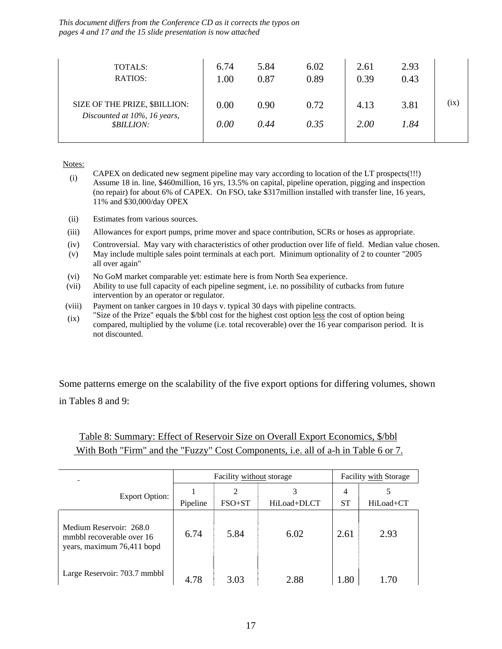*This document differs from the Conference CD as it corrects the typos on pages 4 and 17 and the 15 slide presentation is now attached*

| <b>TOTALS:</b>                                                                            | 6.74         | 5.84         | 6.02         | 2.61                | 2.93         |      |
|-------------------------------------------------------------------------------------------|--------------|--------------|--------------|---------------------|--------------|------|
| <b>RATIOS:</b>                                                                            | 1.00         | 0.87         | 0.89         | 0.39                | 0.43         |      |
| SIZE OF THE PRIZE, \$BILLION:<br>Discounted at 10%, 16 years,<br><i><b>\$BILLION:</b></i> | 0.00<br>0.00 | 0.90<br>0.44 | 0.72<br>0.35 | 4.13<br><i>2.00</i> | 3.81<br>1.84 | (ix) |

Notes:

- (i) CAPEX on dedicated new segment pipeline may vary according to location of the LT prospects(!!!) Assume 18 in. line, \$460million, 16 yrs, 13.5% on capital, pipeline operation, pigging and inspection (no repair) for about 6% of CAPEX. On FSO, take \$317million installed with transfer line, 16 years, 11% and \$30,000/day OPEX
- (ii) Estimates from various sources.
- (iii) Allowances for export pumps, prime mover and space contribution, SCRs or hoses as appropriate.
- (iv) Controversial. May vary with characteristics of other production over life of field. Median value chosen.
- (v) May include multiple sales point terminals at each port. Minimum optionality of 2 to counter "2005 all over again"
- (vi) No GoM market comparable yet: estimate here is from North Sea experience.
- (vii) Ability to use full capacity of each pipeline segment, i.e. no possibility of cutbacks from future intervention by an operator or regulator.
- (viii) Payment on tanker cargoes in 10 days v. typical 30 days with pipeline contracts.
- (ix) "Size of the Prize" equals the \$/bbl cost for the highest cost option less the cost of option being compared, multiplied by the volume (i.e. total recoverable) over the 16 year comparison period. It is not discounted.

Some patterns emerge on the scalability of the five export options for differing volumes, shown

in Tables 8 and 9:

#### Table 8: Summary: Effect of Reservoir Size on Overall Export Economics, \$/bbl With Both "Firm" and the "Fuzzy" Cost Components, i.e. all of a-h in Table 6 or 7.

|                                                                                    | Facility without storage |          |             |           | Facility with Storage |  |
|------------------------------------------------------------------------------------|--------------------------|----------|-------------|-----------|-----------------------|--|
| <b>Export Option:</b>                                                              |                          | 2        |             | 4         |                       |  |
|                                                                                    | Pipeline                 | $FSO+ST$ | HiLoad+DLCT | <b>ST</b> | HiLoad+CT             |  |
| Medium Reservoir: 268.0<br>mmbbl recoverable over 16<br>years, maximum 76,411 bopd | 6.74                     | 5.84     | 6.02        | 2.61      | 2.93                  |  |
| Large Reservoir: 703.7 mmbbl                                                       | 4.78                     | 3.03     | 2.88        | .80       | 1.70                  |  |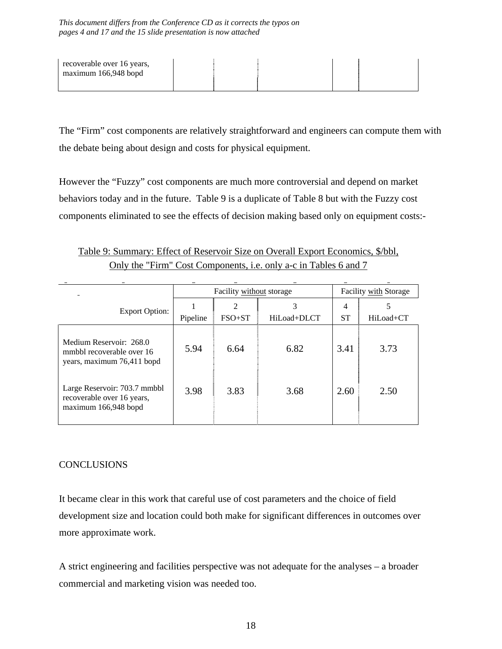The "Firm" cost components are relatively straightforward and engineers can compute them with the debate being about design and costs for physical equipment.

However the "Fuzzy" cost components are much more controversial and depend on market behaviors today and in the future. Table 9 is a duplicate of Table 8 but with the Fuzzy cost components eliminated to see the effects of decision making based only on equipment costs:-

Table 9: Summary: Effect of Reservoir Size on Overall Export Economics, \$/bbl, Only the "Firm" Cost Components, i.e. only a-c in Tables 6 and 7

|                                                                                    |          | Facility without storage |             |                | <b>Facility with Storage</b> |
|------------------------------------------------------------------------------------|----------|--------------------------|-------------|----------------|------------------------------|
| <b>Export Option:</b>                                                              |          | 2                        | 3           | $\overline{4}$ | 5                            |
|                                                                                    | Pipeline | $FSO+ST$                 | HiLoad+DLCT | <b>ST</b>      | HiLoad+CT                    |
| Medium Reservoir: 268.0<br>mmbbl recoverable over 16<br>years, maximum 76,411 bopd | 5.94     | 6.64                     | 6.82        | 3.41           | 3.73                         |
| Large Reservoir: 703.7 mmbbl<br>recoverable over 16 years,<br>maximum 166,948 bopd | 3.98     | 3.83                     | 3.68        | 2.60           | 2.50                         |

#### **CONCLUSIONS**

It became clear in this work that careful use of cost parameters and the choice of field development size and location could both make for significant differences in outcomes over more approximate work.

A strict engineering and facilities perspective was not adequate for the analyses – a broader commercial and marketing vision was needed too.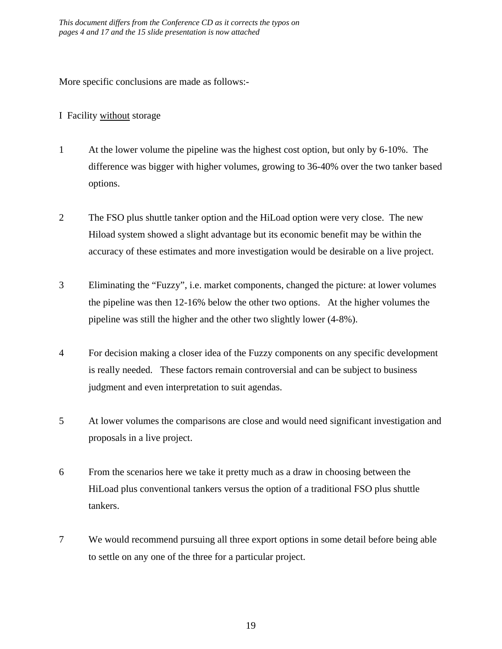More specific conclusions are made as follows:-

I Facility without storage

- 1 At the lower volume the pipeline was the highest cost option, but only by 6-10%. The difference was bigger with higher volumes, growing to 36-40% over the two tanker based options.
- 2 The FSO plus shuttle tanker option and the HiLoad option were very close. The new Hiload system showed a slight advantage but its economic benefit may be within the accuracy of these estimates and more investigation would be desirable on a live project.
- 3 Eliminating the "Fuzzy", i.e. market components, changed the picture: at lower volumes the pipeline was then 12-16% below the other two options. At the higher volumes the pipeline was still the higher and the other two slightly lower (4-8%).
- 4 For decision making a closer idea of the Fuzzy components on any specific development is really needed. These factors remain controversial and can be subject to business judgment and even interpretation to suit agendas.
- 5 At lower volumes the comparisons are close and would need significant investigation and proposals in a live project.
- 6 From the scenarios here we take it pretty much as a draw in choosing between the HiLoad plus conventional tankers versus the option of a traditional FSO plus shuttle tankers.
- 7 We would recommend pursuing all three export options in some detail before being able to settle on any one of the three for a particular project.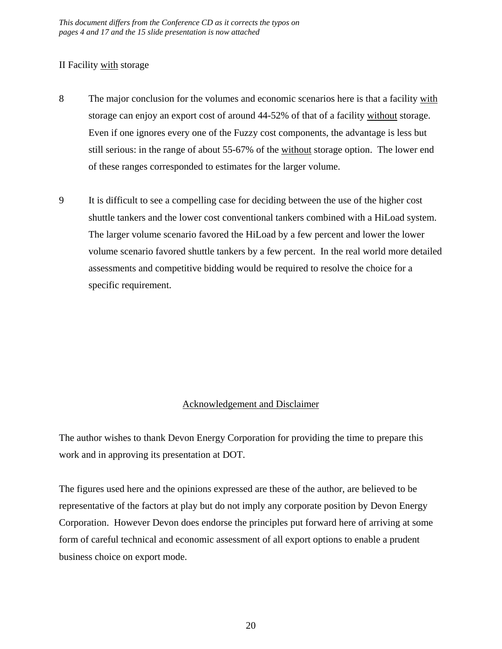#### II Facility with storage

- 8 The major conclusion for the volumes and economic scenarios here is that a facility with storage can enjoy an export cost of around 44-52% of that of a facility without storage. Even if one ignores every one of the Fuzzy cost components, the advantage is less but still serious: in the range of about 55-67% of the without storage option. The lower end of these ranges corresponded to estimates for the larger volume.
- 9 It is difficult to see a compelling case for deciding between the use of the higher cost shuttle tankers and the lower cost conventional tankers combined with a HiLoad system. The larger volume scenario favored the HiLoad by a few percent and lower the lower volume scenario favored shuttle tankers by a few percent. In the real world more detailed assessments and competitive bidding would be required to resolve the choice for a specific requirement.

#### Acknowledgement and Disclaimer

The author wishes to thank Devon Energy Corporation for providing the time to prepare this work and in approving its presentation at DOT.

The figures used here and the opinions expressed are these of the author, are believed to be representative of the factors at play but do not imply any corporate position by Devon Energy Corporation. However Devon does endorse the principles put forward here of arriving at some form of careful technical and economic assessment of all export options to enable a prudent business choice on export mode.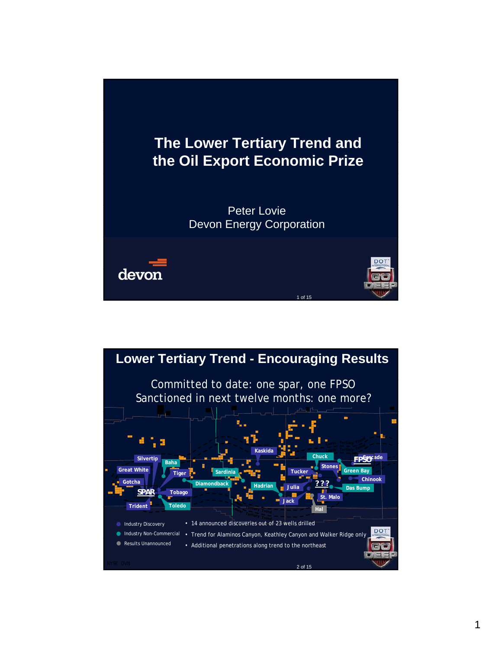

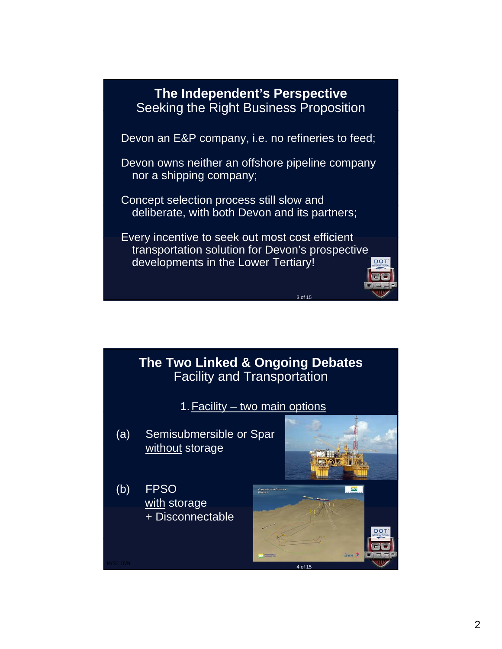**The Independent's Perspective**  Seeking the Right Business Proposition Devon an E&P company, i.e. no refineries to feed; Devon owns neither an offshore pipeline company nor a shipping company; Concept selection process still slow and deliberate, with both Devon and its partners; Every incentive to seek out most cost efficient transportation solution for Devon's prospective

developments in the Lower Tertiary!

3 of 15



4 of 15 NYSE: DVN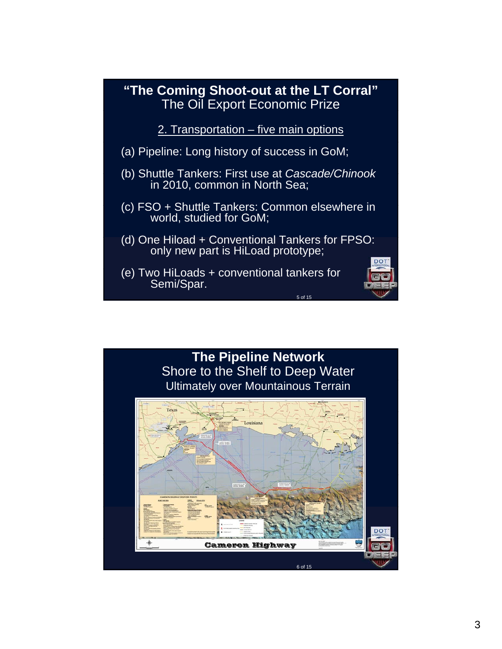

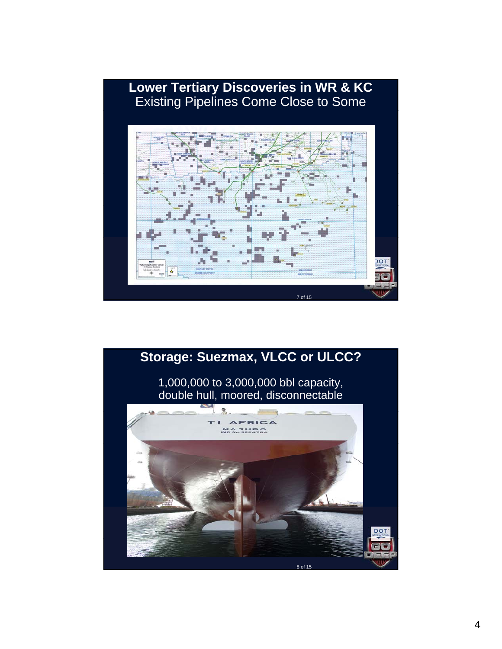

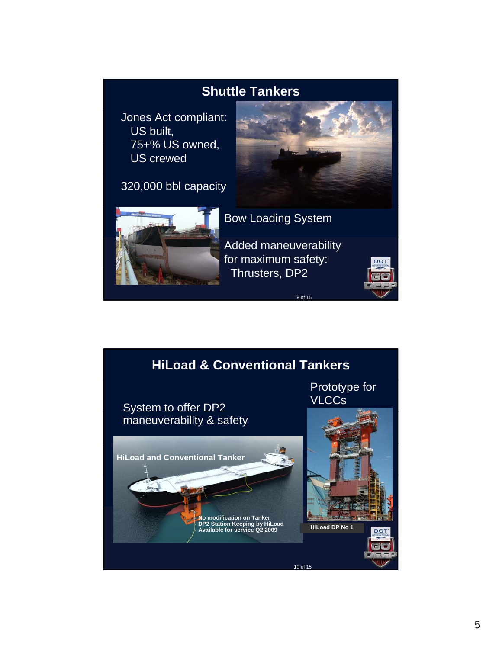

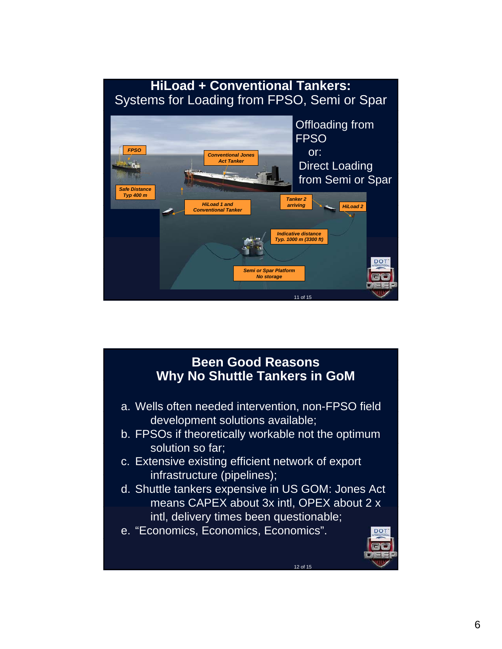

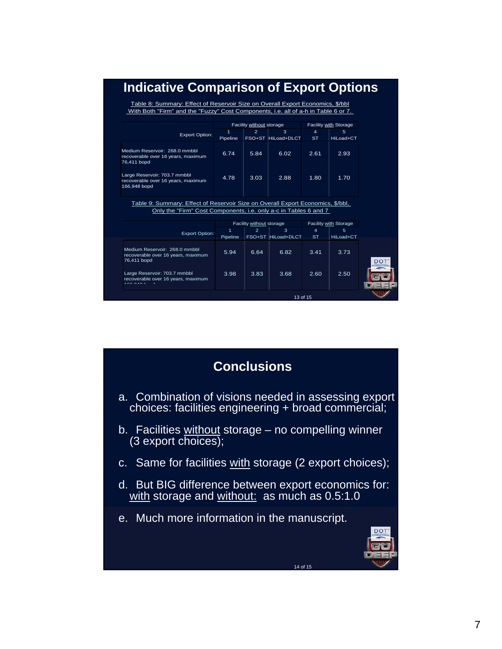| <b>Indicative Comparison of Export Options</b> |  |  |
|------------------------------------------------|--|--|
|------------------------------------------------|--|--|

Table 8: Summary: Effect of Reservoir Size on Overall Export Economics, \$/bbl With Both "Firm" and the "Fuzzy" Cost Components, i.e. all of a-h in Table 6 or 7.

|                                                                                    |               | Facility without storage |                         |                                | <b>Facility with Storage</b> |
|------------------------------------------------------------------------------------|---------------|--------------------------|-------------------------|--------------------------------|------------------------------|
| <b>Export Option:</b>                                                              | 1<br>Pipeline | $\overline{2}$           | 3<br>FSO+ST HiLoad+DLCT | $\overline{\mathbf{4}}$<br>ST. | 5<br>HiLoad+CT               |
| Medium Reservoir: 268.0 mmbbl<br>recoverable over 16 years, maximum<br>76,411 bopd | 6.74          | 5.84                     | 6.02                    | 2.61                           | 2.93                         |
| Large Reservoir: 703.7 mmbbl<br>recoverable over 16 years, maximum<br>166,948 bopd | 4.78          | 3.03                     | 2.88                    | 1.80                           | 1.70                         |

Only the "Firm" Cost Components, i.e. only a-c in Tables 6 and 7 Table 9: Summary: Effect of Reservoir Size on Overall Export Economics, \$/bbl,

| <b>Export Option:</b><br>Pipeline<br>Medium Reservoir: 268.0 mmbbl<br>5.94<br>recoverable over 16 years, maximum | $\overline{2}$<br>6.64 | 3<br>FSO+ST HiLoad+DLCT<br>6.82 | $\overline{4}$<br><b>ST</b><br>3.41 | 5<br>HiLoad+CT<br>3.73 |
|------------------------------------------------------------------------------------------------------------------|------------------------|---------------------------------|-------------------------------------|------------------------|
|                                                                                                                  |                        |                                 |                                     |                        |
| 76.411 bopd                                                                                                      |                        |                                 |                                     |                        |
| Large Reservoir: 703.7 mmbbl<br>3.98<br>recoverable over 16 years, maximum<br>40000101<br>$\mathbf{H}$           | 3.83                   | 3.68                            | 2.60                                | 2.50                   |